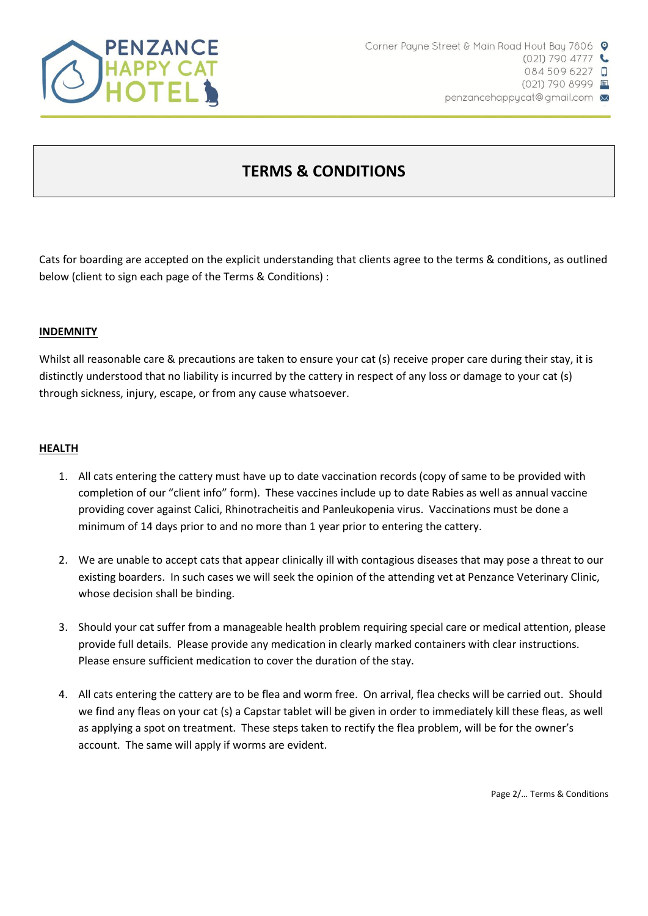

# **TERMS & CONDITIONS**

Cats for boarding are accepted on the explicit understanding that clients agree to the terms & conditions, as outlined below (client to sign each page of the Terms & Conditions) :

# **INDEMNITY**

Whilst all reasonable care & precautions are taken to ensure your cat (s) receive proper care during their stay, it is distinctly understood that no liability is incurred by the cattery in respect of any loss or damage to your cat (s) through sickness, injury, escape, or from any cause whatsoever.

### **HEALTH**

- 1. All cats entering the cattery must have up to date vaccination records (copy of same to be provided with completion of our "client info" form). These vaccines include up to date Rabies as well as annual vaccine providing cover against Calici, Rhinotracheitis and Panleukopenia virus. Vaccinations must be done a minimum of 14 days prior to and no more than 1 year prior to entering the cattery.
- 2. We are unable to accept cats that appear clinically ill with contagious diseases that may pose a threat to our existing boarders. In such cases we will seek the opinion of the attending vet at Penzance Veterinary Clinic, whose decision shall be binding.
- 3. Should your cat suffer from a manageable health problem requiring special care or medical attention, please provide full details. Please provide any medication in clearly marked containers with clear instructions. Please ensure sufficient medication to cover the duration of the stay.
- 4. All cats entering the cattery are to be flea and worm free. On arrival, flea checks will be carried out. Should we find any fleas on your cat (s) a Capstar tablet will be given in order to immediately kill these fleas, as well as applying a spot on treatment. These steps taken to rectify the flea problem, will be for the owner's account. The same will apply if worms are evident.

Page 2/… Terms & Conditions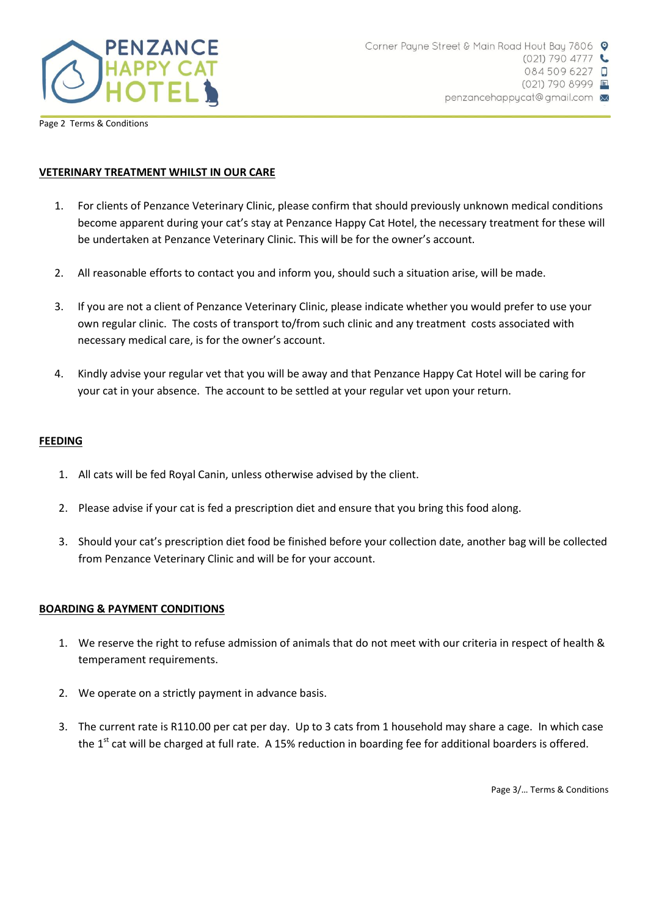

Page 2 Terms & Conditions

# **VETERINARY TREATMENT WHILST IN OUR CARE**

- 1. For clients of Penzance Veterinary Clinic, please confirm that should previously unknown medical conditions become apparent during your cat's stay at Penzance Happy Cat Hotel, the necessary treatment for these will be undertaken at Penzance Veterinary Clinic. This will be for the owner's account.
- 2. All reasonable efforts to contact you and inform you, should such a situation arise, will be made.
- 3. If you are not a client of Penzance Veterinary Clinic, please indicate whether you would prefer to use your own regular clinic. The costs of transport to/from such clinic and any treatment costs associated with necessary medical care, is for the owner's account.
- 4. Kindly advise your regular vet that you will be away and that Penzance Happy Cat Hotel will be caring for your cat in your absence. The account to be settled at your regular vet upon your return.

### **FEEDING**

- 1. All cats will be fed Royal Canin, unless otherwise advised by the client.
- 2. Please advise if your cat is fed a prescription diet and ensure that you bring this food along.
- 3. Should your cat's prescription diet food be finished before your collection date, another bag will be collected from Penzance Veterinary Clinic and will be for your account.

# **BOARDING & PAYMENT CONDITIONS**

- 1. We reserve the right to refuse admission of animals that do not meet with our criteria in respect of health & temperament requirements.
- 2. We operate on a strictly payment in advance basis.
- 3. The current rate is R110.00 per cat per day. Up to 3 cats from 1 household may share a cage. In which case the  $1<sup>st</sup>$  cat will be charged at full rate. A 15% reduction in boarding fee for additional boarders is offered.

Page 3/… Terms & Conditions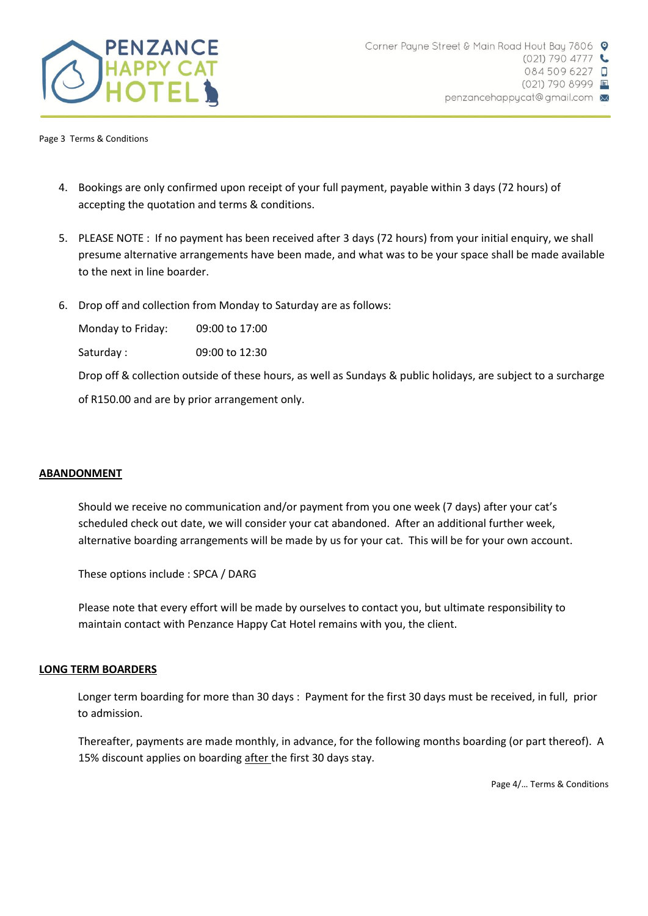

Page 3 Terms & Conditions

- 4. Bookings are only confirmed upon receipt of your full payment, payable within 3 days (72 hours) of accepting the quotation and terms & conditions.
- 5. PLEASE NOTE : If no payment has been received after 3 days (72 hours) from your initial enquiry, we shall presume alternative arrangements have been made, and what was to be your space shall be made available to the next in line boarder.
- 6. Drop off and collection from Monday to Saturday are as follows:

Monday to Friday: 09:00 to 17:00

Saturday : 09:00 to 12:30

Drop off & collection outside of these hours, as well as Sundays & public holidays, are subject to a surcharge

of R150.00 and are by prior arrangement only.

# **ABANDONMENT**

Should we receive no communication and/or payment from you one week (7 days) after your cat's scheduled check out date, we will consider your cat abandoned. After an additional further week, alternative boarding arrangements will be made by us for your cat. This will be for your own account.

These options include : SPCA / DARG

Please note that every effort will be made by ourselves to contact you, but ultimate responsibility to maintain contact with Penzance Happy Cat Hotel remains with you, the client.

#### **LONG TERM BOARDERS**

Longer term boarding for more than 30 days : Payment for the first 30 days must be received, in full, prior to admission.

Thereafter, payments are made monthly, in advance, for the following months boarding (or part thereof). A 15% discount applies on boarding after the first 30 days stay.

Page 4/… Terms & Conditions